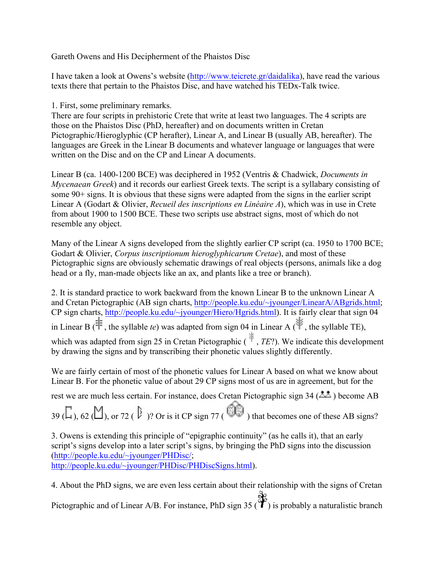Gareth Owens and His Decipherment of the Phaistos Disc

I have taken a look at Owens's website (http://www.teicrete.gr/daidalika), have read the various texts there that pertain to the Phaistos Disc, and have watched his TEDx-Talk twice.

1. First, some preliminary remarks.

There are four scripts in prehistoric Crete that write at least two languages. The 4 scripts are those on the Phaistos Disc (PhD, hereafter) and on documents written in Cretan Pictographic/Hieroglyphic (CP herafter), Linear A, and Linear B (usually AB, hereafter). The languages are Greek in the Linear B documents and whatever language or languages that were written on the Disc and on the CP and Linear A documents.

Linear B (ca. 1400-1200 BCE) was deciphered in 1952 (Ventris & Chadwick, *Documents in Mycenaean Greek*) and it records our earliest Greek texts. The script is a syllabary consisting of some 90+ signs. It is obvious that these signs were adapted from the signs in the earlier script Linear A (Godart & Olivier, *Recueil des inscriptions en Linéaire A*), which was in use in Crete from about 1900 to 1500 BCE. These two scripts use abstract signs, most of which do not resemble any object.

Many of the Linear A signs developed from the slightly earlier CP script (ca. 1950 to 1700 BCE; Godart & Olivier, *Corpus inscriptionum hieroglyphicarum Cretae*), and most of these Pictographic signs are obviously schematic drawings of real objects (persons, animals like a dog head or a fly, man-made objects like an ax, and plants like a tree or branch).

2. It is standard practice to work backward from the known Linear B to the unknown Linear A and Cretan Pictographic (AB sign charts, http://people.ku.edu/~jyounger/LinearA/ABgrids.html; CP sign charts, http://people.ku.edu/~jyounger/Hiero/Hgrids.html). It is fairly clear that sign 04 in Linear B ( , the syllable *te*) was adapted from sign 04 in Linear A ( , the syllable TE), which was adapted from sign 25 in Cretan Pictographic ( $\mathcal{F}$ , *TE*?). We indicate this development by drawing the signs and by transcribing their phonetic values slightly differently.

We are fairly certain of most of the phonetic values for Linear A based on what we know about Linear B. For the phonetic value of about 29 CP signs most of us are in agreement, but for the

rest we are much less certain. For instance, does Cretan Pictographic sign 34 ( $\triangle$ ) become AB

39 ( $\Box$ ), 62 ( $\Box$ ), or 72 ( $\Box$ )? Or is it CP sign 77 ( $\Box$ ) that becomes one of these AB signs?

3. Owens is extending this principle of "epigraphic continuity" (as he calls it), that an early script's signs develop into a later script's signs, by bringing the PhD signs into the discussion (http://people.ku.edu/~jyounger/PHDisc/;

http://people.ku.edu/~jyounger/PHDisc/PHDiscSigns.html).

4. About the PhD signs, we are even less certain about their relationship with the signs of Cretan Pictographic and of Linear A/B. For instance, PhD sign 35 ( $\overrightarrow{Y}$ ) is probably a naturalistic branch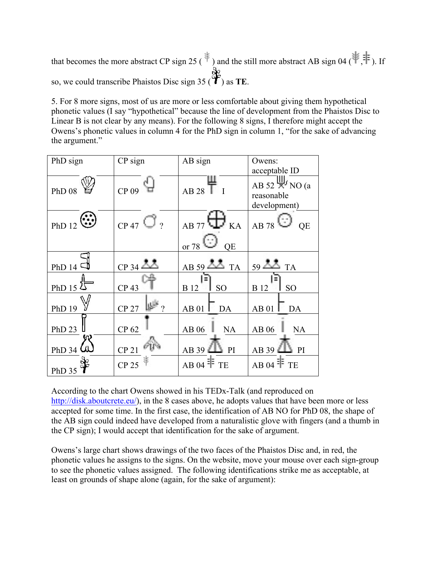that becomes the more abstract CP sign 25 ( $\ast$ ) and the still more abstract AB sign 04 ( $\ast$ , $\ast$ ). If so, we could transcribe Phaistos Disc sign 35 ( $\overrightarrow{Y}$ ) as **TE**.

5. For 8 more signs, most of us are more or less comfortable about giving them hypothetical phonetic values (I say "hypothetical" because the line of development from the Phaistos Disc to Linear B is not clear by any means). For the following 8 signs, I therefore might accept the Owens's phonetic values in column 4 for the PhD sign in column 1, "for the sake of advancing the argument."

| PhD sign                          | CP sign          | AB sign                                                       | Owens:                                                            |  |
|-----------------------------------|------------------|---------------------------------------------------------------|-------------------------------------------------------------------|--|
|                                   |                  |                                                               | acceptable ID                                                     |  |
| <b>PhD 08</b>                     | CP 09            | $AB$ 28 $T$                                                   | AB 52 $\frac{\mu}{\sqrt{2}}$ NO (a<br>reasonable<br>development)  |  |
| PhD 12 $\ddot{\ddot{\mathbf{w}}}$ | $CP$ 47 $Q$ ?    | $AB$ 77 $\bigoplus$ KA<br>$\frac{\text{or}}{28}$<br><b>OE</b> | AB 78<br><b>QE</b>                                                |  |
|                                   |                  |                                                               |                                                                   |  |
| PhD 14 $\Box$                     | $CP$ 34          | AB 59 $\Delta$ TA                                             | $59 \overline{\phantom{0}}\phantom{00} \overline{\phantom{0}}$ TA |  |
| PhD 15 $25$                       | CP <sub>43</sub> | <b>B</b> 12<br><b>SO</b>                                      | B 12<br>S <sub>O</sub>                                            |  |
| <b>PhD 19</b>                     | <b>CP 27</b>     | AB 01<br>DA                                                   | AB 01<br>DA                                                       |  |
| PhD <sub>23</sub>                 | CP 62            | <b>AB06</b><br><b>NA</b>                                      | AB 06<br><b>NA</b>                                                |  |
| PhD 34 $\omega$                   | CP <sub>21</sub> | AB39L<br>PI                                                   | AB 39<br>PI                                                       |  |
| PhD 35                            | CP 25            | AB 04 $\mathbb{F}$ TE                                         | AB 04 $\textcolor{red}{\mathsf{\bar{F}}}$ TE                      |  |

According to the chart Owens showed in his TEDx-Talk (and reproduced on http://disk.aboutcrete.eu/), in the 8 cases above, he adopts values that have been more or less accepted for some time. In the first case, the identification of AB NO for PhD 08, the shape of the AB sign could indeed have developed from a naturalistic glove with fingers (and a thumb in the CP sign); I would accept that identification for the sake of argument.

Owens's large chart shows drawings of the two faces of the Phaistos Disc and, in red, the phonetic values he assigns to the signs. On the website, move your mouse over each sign-group to see the phonetic values assigned. The following identifications strike me as acceptable, at least on grounds of shape alone (again, for the sake of argument):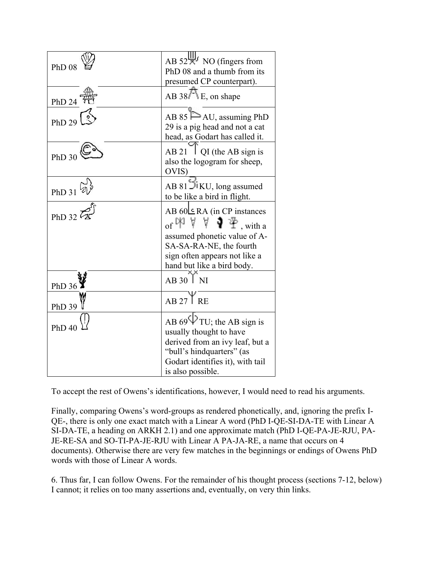| <b>PhD 08</b>     | AB $52\frac{\text{GeV}}{\text{N}}$ NO (fingers from<br>PhD 08 and a thumb from its<br>presumed CP counterpart).                                                                                                                                        |
|-------------------|--------------------------------------------------------------------------------------------------------------------------------------------------------------------------------------------------------------------------------------------------------|
| PhD 24            | AB 38 <sup>F</sup> E, on shape                                                                                                                                                                                                                         |
| PhD 29            | AB 85 $\triangleright$ AU, assuming PhD<br>29 is a pig head and not a cat<br>head, as Godart has called it.                                                                                                                                            |
| PhD <sub>30</sub> | $\overline{Q}I$ (the AB sign is<br>AB 21<br>also the logogram for sheep,<br>OVIS)                                                                                                                                                                      |
| $PhD$ 31          | AB 81 DIKU, long assumed<br>to be like a bird in flight.                                                                                                                                                                                               |
| PhD 32 $\bar{z}$  | AB $60ERA$ (in CP instances<br>of $\mathbb{N}$ $\mathbb{V}$ $\mathbb{V}$ $\mathbf{\Psi}$ $\mathbf{\Psi}$ <sub>, with a</sub><br>assumed phonetic value of A-<br>SA-SA-RA-NE, the fourth<br>sign often appears not like a<br>hand but like a bird body. |
| PhD 36            | $AB$ 30 $\overline{)$ NI                                                                                                                                                                                                                               |
| <b>PhD 39</b>     | $AB 27$ <sup>Y</sup> RE                                                                                                                                                                                                                                |
| <b>PhD 40</b>     | AB 69 $\Psi$ TU; the AB sign is<br>usually thought to have<br>derived from an ivy leaf, but a<br>"bull's hindquarters" (as<br>Godart identifies it), with tail                                                                                         |
|                   | is also possible.                                                                                                                                                                                                                                      |

To accept the rest of Owens's identifications, however, I would need to read his arguments.

Finally, comparing Owens's word-groups as rendered phonetically, and, ignoring the prefix I-QE-, there is only one exact match with a Linear A word (PhD I-QE-SI-DA-TE with Linear A SI-DA-TE, a heading on ARKH 2.1) and one approximate match (PhD I-QE-PA-JE-RJU, PA-JE-RE-SA and SO-TI-PA-JE-RJU with Linear A PA-JA-RE, a name that occurs on 4 documents). Otherwise there are very few matches in the beginnings or endings of Owens PhD words with those of Linear A words.

6. Thus far, I can follow Owens. For the remainder of his thought process (sections 7-12, below) I cannot; it relies on too many assertions and, eventually, on very thin links.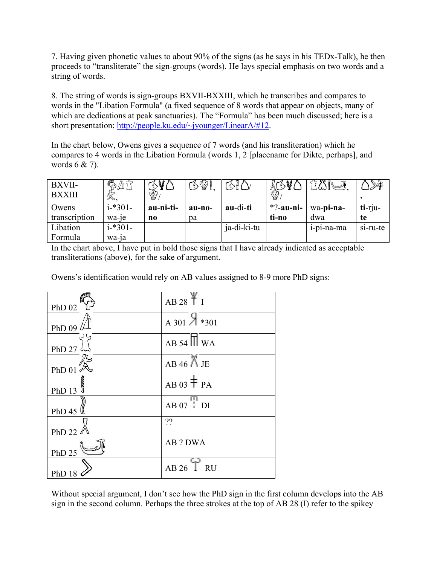7. Having given phonetic values to about 90% of the signs (as he says in his TEDx-Talk), he then proceeds to "transliterate" the sign-groups (words). He lays special emphasis on two words and a string of words.

8. The string of words is sign-groups BXVII-BXXIII, which he transcribes and compares to words in the "Libation Formula" (a fixed sequence of 8 words that appear on objects, many of which are dedications at peak sanctuaries). The "Formula" has been much discussed; here is a short presentation: http://people.ku.edu/~jyounger/LinearA/#12.

In the chart below, Owens gives a sequence of 7 words (and his transliteration) which he compares to 4 words in the Libation Formula (words 1, 2 [placename for Dikte, perhaps], and words 6 & 7).

| BXVII-<br><b>BXXIII</b> | $\mathbb{R}^{\mathbb{Z}}$<br>X | $\Im$ $\mathcal{U}$<br>♔ | YI.<br>$\mathcal{S}$ | $\mathcal{O}$ | $\mathcal{L}$<br>ハー<br>♔ | ₩⊌           | ≫\$⊱       |
|-------------------------|--------------------------------|--------------------------|----------------------|---------------|--------------------------|--------------|------------|
| Owens                   | $i$ <sup>*301</sup> -          | au-ni-ti-                | au-no-               | au-di-ti      | $*?$ -au-ni-             | wa-pi-na-    | $t$ i-rju- |
| transcription           | wa-je                          | no                       | pa                   |               | ti-no                    | dwa          | te         |
| Libation                | $i$ <sup>*301</sup> -          |                          |                      | ja-di-ki-tu   |                          | $1-p1-na-ma$ | si-ru-te   |
| Formula                 | wa-1a                          |                          |                      |               |                          |              |            |

In the chart above, I have put in bold those signs that I have already indicated as acceptable transliterations (above), for the sake of argument.

Owens's identification would rely on AB values assigned to 8-9 more PhD signs:

| PhD $02$                              | AB 28 T I                         |
|---------------------------------------|-----------------------------------|
| PhD 09 $\not\!\!\perp$                | A 301 $\frac{\times 301}{801}$    |
| PhD 27 $\sim$                         | $AB 54$ $\overline{\parallel}$ WA |
| $PhD$ 01                              | $AB 46$ $\uparrow$ JE             |
| $\frac{\text{PhD }13}{\text{bhD }13}$ | $AB$ 03 $\pm$ PA                  |
| PhD 45                                | $AB 07$ DI                        |
| PhD 22 $\mathbb{Z}$                   | ??                                |
| PhD $25$                              | <b>AB</b> ? DWA                   |
| PhD 18                                | AB 26 T RU                        |

Without special argument, I don't see how the PhD sign in the first column develops into the AB sign in the second column. Perhaps the three strokes at the top of AB 28 (I) refer to the spikey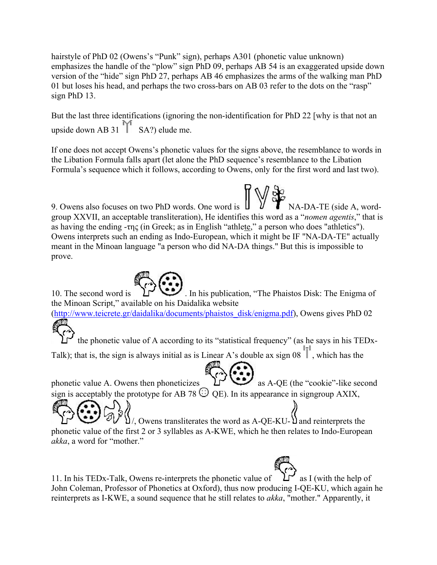hairstyle of PhD 02 (Owens's "Punk" sign), perhaps A301 (phonetic value unknown) emphasizes the handle of the "plow" sign PhD 09, perhaps AB 54 is an exaggerated upside down version of the "hide" sign PhD 27, perhaps AB 46 emphasizes the arms of the walking man PhD 01 but loses his head, and perhaps the two cross-bars on AB 03 refer to the dots on the "rasp" sign PhD 13.

But the last three identifications (ignoring the non-identification for PhD 22 [why is that not an upside down AB 31  $\mathbb{M}$  SA?) elude me.

If one does not accept Owens's phonetic values for the signs above, the resemblance to words in the Libation Formula falls apart (let alone the PhD sequence's resemblance to the Libation Formula's sequence which it follows, according to Owens, only for the first word and last two).

9. Owens also focuses on two PhD words. One word is  $\mathbf{U} \mathbf{V} \mathbf{V}$  NA-DA-TE (side A, wordgroup XXVII, an acceptable transliteration), He identifies this word as a "*nomen agentis*," that is as having the ending -της (in Greek; as in English "athlete," a person who does "athletics"). Owens interprets such an ending as Indo-European, which it might be IF "NA-DA-TE" actually meant in the Minoan language "a person who did NA-DA things." But this is impossible to prove.

10. The second word is  $\sum_{n=1}^{\infty}$ . In his publication, "The Phaistos Disk: The Enigma of the Minoan Script," available on his Daidalika website

(http://www.teicrete.gr/daidalika/documents/phaistos\_disk/enigma.pdf), Owens gives PhD 02

the phonetic value of A according to its "statistical frequency" (as he says in his TEDx-Talk); that is, the sign is always initial as is Linear A's double ax sign  $08$  , which has the

phonetic value A. Owens then phoneticizes  $\sum_{n=1}^{\infty}$  as A-QE (the "cookie"-like second sign is acceptably the prototype for AB 78  $\odot$  OE). In its appearance in signgroup AXIX,

 $\mathcal{V}$ , Owens transliterates the word as A-QE-KU- $\mathcal{V}$  and reinterprets the phonetic value of the first 2 or 3 syllables as A-KWE, which he then relates to Indo-European *akka*, a word for "mother."

11. In his TEDx-Talk, Owens re-interprets the phonetic value of  $\mathcal{L}^{\bullet}$  as I (with the help of John Coleman, Professor of Phonetics at Oxford), thus now producing I-QE-KU, which again he reinterprets as I-KWE, a sound sequence that he still relates to *akka*, "mother." Apparently, it